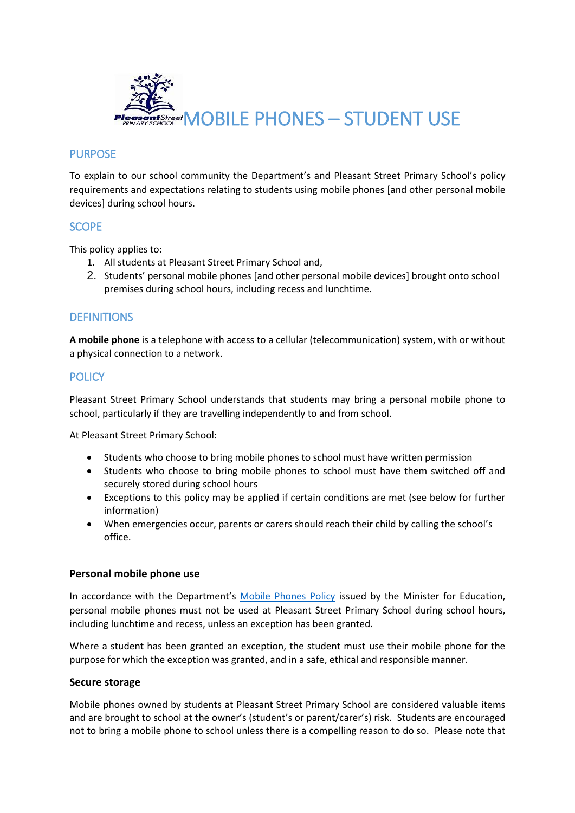

# **PURPOSE**

To explain to our school community the Department's and Pleasant Street Primary School's policy requirements and expectations relating to students using mobile phones [and other personal mobile devices] during school hours.

# **SCOPE**

This policy applies to:

- 1. All students at Pleasant Street Primary School and,
- 2. Students' personal mobile phones [and other personal mobile devices] brought onto school premises during school hours, including recess and lunchtime.

# **DEFINITIONS**

**A mobile phone** is a telephone with access to a cellular (telecommunication) system, with or without a physical connection to a network.

# **POLICY**

Pleasant Street Primary School understands that students may bring a personal mobile phone to school, particularly if they are travelling independently to and from school.

At Pleasant Street Primary School:

- Students who choose to bring mobile phones to school must have written permission
- Students who choose to bring mobile phones to school must have them switched off and securely stored during school hours
- Exceptions to this policy may be applied if certain conditions are met (see below for further information)
- When emergencies occur, parents or carers should reach their child by calling the school's office.

## **Personal mobile phone use**

In accordance with the Department's [Mobile Phones Policy](https://www.education.vic.gov.au/school/principals/spag/safety/Pages/mobilephones.aspx) issued by the Minister for Education, personal mobile phones must not be used at Pleasant Street Primary School during school hours, including lunchtime and recess, unless an exception has been granted.

Where a student has been granted an exception, the student must use their mobile phone for the purpose for which the exception was granted, and in a safe, ethical and responsible manner.

#### **Secure storage**

Mobile phones owned by students at Pleasant Street Primary School are considered valuable items and are brought to school at the owner's (student's or parent/carer's) risk. Students are encouraged not to bring a mobile phone to school unless there is a compelling reason to do so. Please note that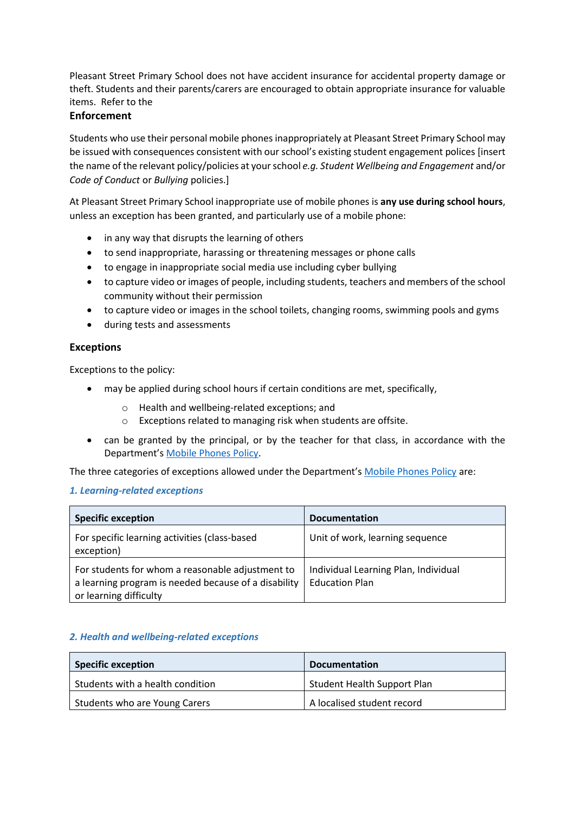Pleasant Street Primary School does not have accident insurance for accidental property damage or theft. Students and their parents/carers are encouraged to obtain appropriate insurance for valuable items. Refer to the

# **Enforcement**

Students who use their personal mobile phones inappropriately at Pleasant Street Primary School may be issued with consequences consistent with our school's existing student engagement polices [insert the name of the relevant policy/policies at your school *e.g. Student Wellbeing and Engagement* and/or *Code of Conduct* or *Bullying* policies.]

At Pleasant Street Primary School inappropriate use of mobile phones is **any use during school hours**, unless an exception has been granted, and particularly use of a mobile phone:

- in any way that disrupts the learning of others
- to send inappropriate, harassing or threatening messages or phone calls
- to engage in inappropriate social media use including cyber bullying
- to capture video or images of people, including students, teachers and members of the school community without their permission
- to capture video or images in the school toilets, changing rooms, swimming pools and gyms
- during tests and assessments

## **Exceptions**

Exceptions to the policy:

- may be applied during school hours if certain conditions are met, specifically,
	- o Health and wellbeing-related exceptions; and
	- o Exceptions related to managing risk when students are offsite.
- can be granted by the principal, or by the teacher for that class, in accordance with the Department's [Mobile Phones Policy.](https://www.education.vic.gov.au/school/principals/spag/safety/Pages/mobilephones.aspx)

The three categories of exceptions allowed under the Department's [Mobile Phones Policy](https://www.education.vic.gov.au/school/principals/spag/safety/Pages/mobilephones.aspx) are:

## *1. Learning-related exceptions*

| <b>Specific exception</b>                                                                                                          | <b>Documentation</b>                                          |
|------------------------------------------------------------------------------------------------------------------------------------|---------------------------------------------------------------|
| For specific learning activities (class-based<br>exception)                                                                        | Unit of work, learning sequence                               |
| For students for whom a reasonable adjustment to<br>a learning program is needed because of a disability<br>or learning difficulty | Individual Learning Plan, Individual<br><b>Education Plan</b> |

## *2. Health and wellbeing-related exceptions*

| <b>Specific exception</b>        | <b>Documentation</b>               |
|----------------------------------|------------------------------------|
| Students with a health condition | <b>Student Health Support Plan</b> |
| Students who are Young Carers    | A localised student record         |